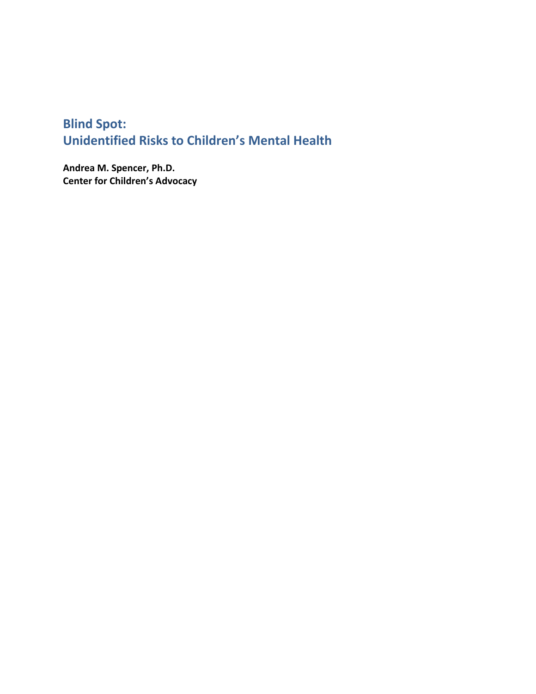# **Blind Spot: Unidentified Risks to Children's Mental Health**

**Andrea M. Spencer, Ph.D. Center for Children's Advocacy**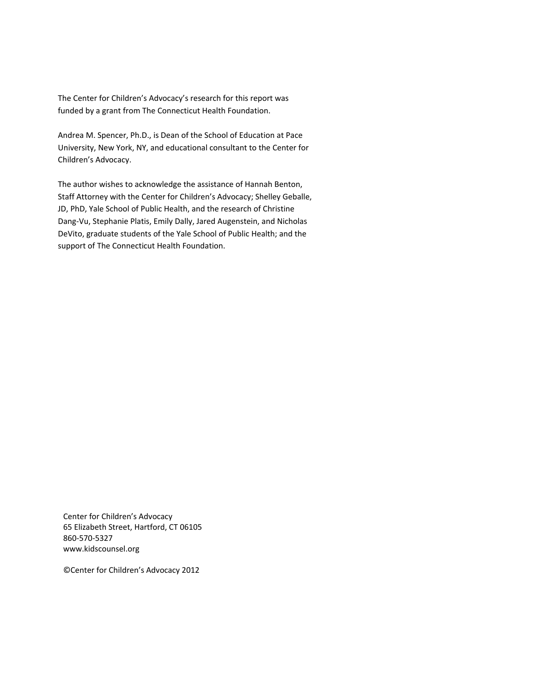The Center for Children's Advocacy's research for this report was funded by a grant from The Connecticut Health Foundation.

Andrea M. Spencer, Ph.D., is Dean of the School of Education at Pace University, New York, NY, and educational consultant to the Center for Children's Advocacy.

The author wishes to acknowledge the assistance of Hannah Benton, Staff Attorney with the Center for Children's Advocacy; Shelley Geballe, JD, PhD, Yale School of Public Health, and the research of Christine Dang‐Vu, Stephanie Platis, Emily Dally, Jared Augenstein, and Nicholas DeVito, graduate students of the Yale School of Public Health; and the support of The Connecticut Health Foundation.

Center for Children's Advocacy 65 Elizabeth Street, Hartford, CT 06105 860‐570‐5327 www.kidscounsel.org

©Center for Children's Advocacy 2012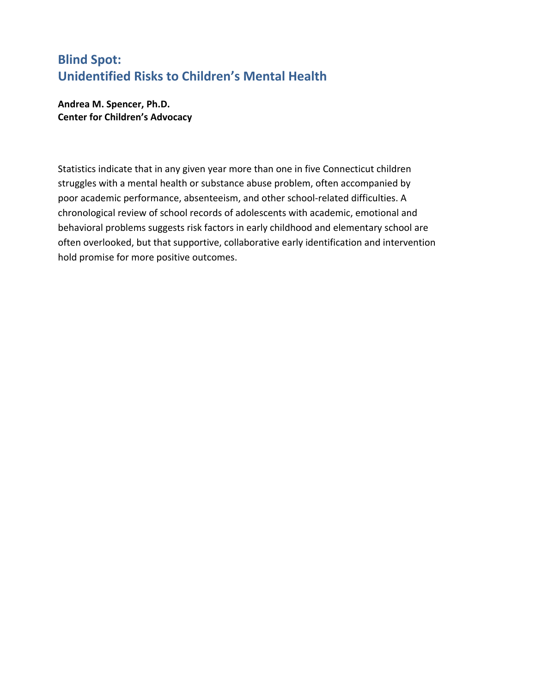# **Blind Spot: Unidentified Risks to Children's Mental Health**

**Andrea M. Spencer, Ph.D. Center for Children's Advocacy**

Statistics indicate that in any given year more than one in five Connecticut children struggles with a mental health or substance abuse problem, often accompanied by poor academic performance, absenteeism, and other school-related difficulties. A chronological review of school records of adolescents with academic, emotional and behavioral problems suggests risk factors in early childhood and elementary school are often overlooked, but that supportive, collaborative early identification and intervention hold promise for more positive outcomes.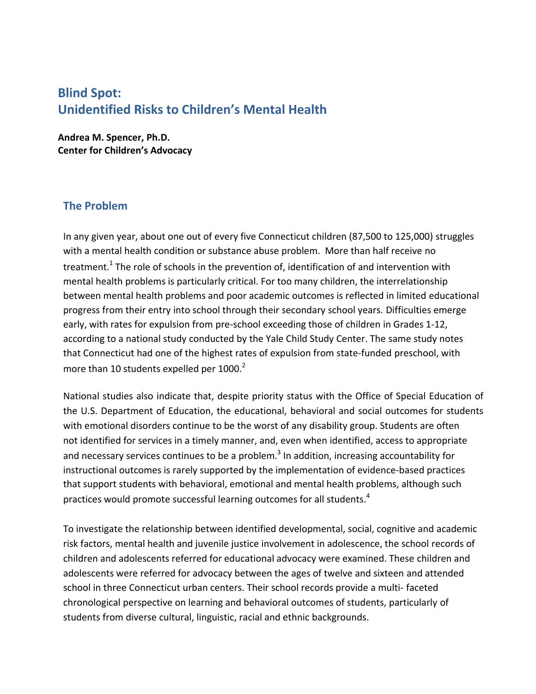# **Blind Spot: Unidentified Risks to Children's Mental Health**

**Andrea M. Spencer, Ph.D. Center for Children's Advocacy**

## **The Problem**

In any given year, about one out of every five Connecticut children (87,500 to 125,000) struggles with a mental health condition or substance abuse problem. More than half receive no treatment.<sup>1</sup> The role of schools in the prevention of, identification of and intervention with mental health problems is particularly critical. For too many children, the interrelationship between mental health problems and poor academic outcomes is reflected in limited educational progress from their entry into school through their secondary school years. Difficulties emerge early, with rates for expulsion from pre‐school exceeding those of children in Grades 1‐12, according to a national study conducted by the Yale Child Study Center. The same study notes that Connecticut had one of the highest rates of expulsion from state‐funded preschool, with more than 10 students expelled per 1000.<sup>2</sup>

National studies also indicate that, despite priority status with the Office of Special Education of the U.S. Department of Education, the educational, behavioral and social outcomes for students with emotional disorders continue to be the worst of any disability group. Students are often not identified for services in a timely manner, and, even when identified, access to appropriate and necessary services continues to be a problem.<sup>3</sup> In addition, increasing accountability for instructional outcomes is rarely supported by the implementation of evidence-based practices that support students with behavioral, emotional and mental health problems, although such practices would promote successful learning outcomes for all students.<sup>4</sup>

To investigate the relationship between identified developmental, social, cognitive and academic risk factors, mental health and juvenile justice involvement in adolescence, the school records of children and adolescents referred for educational advocacy were examined. These children and adolescents were referred for advocacy between the ages of twelve and sixteen and attended school in three Connecticut urban centers. Their school records provide a multi‐ faceted chronological perspective on learning and behavioral outcomes of students, particularly of students from diverse cultural, linguistic, racial and ethnic backgrounds.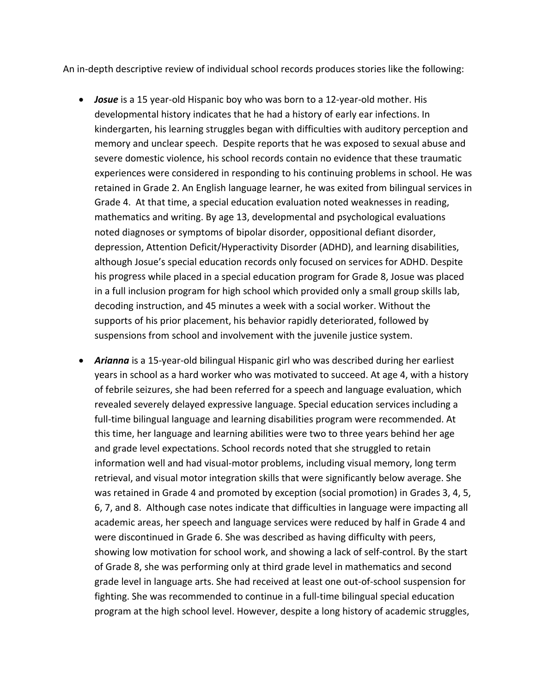An in‐depth descriptive review of individual school records produces stories like the following:

- *Josue* is a 15 year-old Hispanic boy who was born to a 12-year-old mother. His developmental history indicates that he had a history of early ear infections. In kindergarten, his learning struggles began with difficulties with auditory perception and memory and unclear speech. Despite reports that he was exposed to sexual abuse and severe domestic violence, his school records contain no evidence that these traumatic experiences were considered in responding to his continuing problems in school. He was retained in Grade 2. An English language learner, he was exited from bilingual services in Grade 4. At that time, a special education evaluation noted weaknesses in reading, mathematics and writing. By age 13, developmental and psychological evaluations noted diagnoses or symptoms of bipolar disorder, oppositional defiant disorder, depression, Attention Deficit/Hyperactivity Disorder (ADHD), and learning disabilities, although Josue's special education records only focused on services for ADHD. Despite his progress while placed in a special education program for Grade 8, Josue was placed in a full inclusion program for high school which provided only a small group skills lab, decoding instruction, and 45 minutes a week with a social worker. Without the supports of his prior placement, his behavior rapidly deteriorated, followed by suspensions from school and involvement with the juvenile justice system.
- **Arianna** is a 15-year-old bilingual Hispanic girl who was described during her earliest years in school as a hard worker who was motivated to succeed. At age 4, with a history of febrile seizures, she had been referred for a speech and language evaluation, which revealed severely delayed expressive language. Special education services including a full-time bilingual language and learning disabilities program were recommended. At this time, her language and learning abilities were two to three years behind her age and grade level expectations. School records noted that she struggled to retain information well and had visual‐motor problems, including visual memory, long term retrieval, and visual motor integration skills that were significantly below average. She was retained in Grade 4 and promoted by exception (social promotion) in Grades 3, 4, 5, 6, 7, and 8. Although case notes indicate that difficulties in language were impacting all academic areas, her speech and language services were reduced by half in Grade 4 and were discontinued in Grade 6. She was described as having difficulty with peers, showing low motivation for school work, and showing a lack of self‐control. By the start of Grade 8, she was performing only at third grade level in mathematics and second grade level in language arts. She had received at least one out‐of‐school suspension for fighting. She was recommended to continue in a full‐time bilingual special education program at the high school level. However, despite a long history of academic struggles,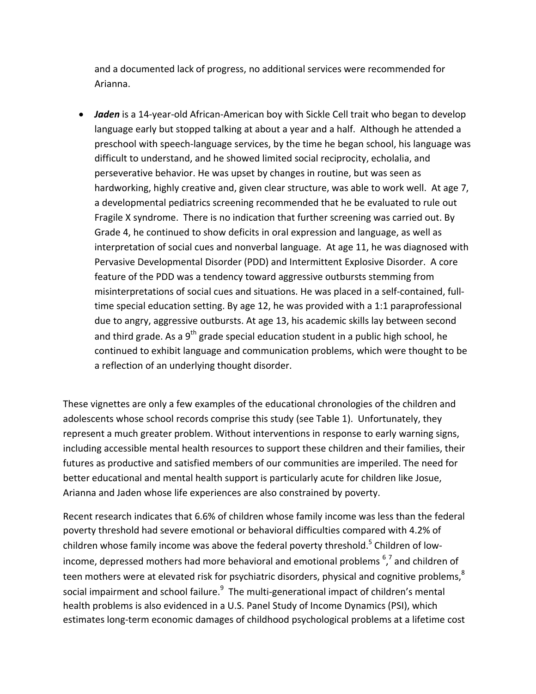and a documented lack of progress, no additional services were recommended for Arianna.

■ *Jaden* is a 14-year-old African-American boy with Sickle Cell trait who began to develop language early but stopped talking at about a year and a half. Although he attended a preschool with speech‐language services, by the time he began school, his language was difficult to understand, and he showed limited social reciprocity, echolalia, and perseverative behavior. He was upset by changes in routine, but was seen as hardworking, highly creative and, given clear structure, was able to work well. At age 7, a developmental pediatrics screening recommended that he be evaluated to rule out Fragile X syndrome. There is no indication that further screening was carried out. By Grade 4, he continued to show deficits in oral expression and language, as well as interpretation of social cues and nonverbal language. At age 11, he was diagnosed with Pervasive Developmental Disorder (PDD) and Intermittent Explosive Disorder. A core feature of the PDD was a tendency toward aggressive outbursts stemming from misinterpretations of social cues and situations. He was placed in a self‐contained, full‐ time special education setting. By age 12, he was provided with a 1:1 paraprofessional due to angry, aggressive outbursts. At age 13, his academic skills lay between second and third grade. As a  $9^{th}$  grade special education student in a public high school, he continued to exhibit language and communication problems, which were thought to be a reflection of an underlying thought disorder.

These vignettes are only a few examples of the educational chronologies of the children and adolescents whose school records comprise this study (see Table 1). Unfortunately, they represent a much greater problem. Without interventions in response to early warning signs, including accessible mental health resources to support these children and their families, their futures as productive and satisfied members of our communities are imperiled. The need for better educational and mental health support is particularly acute for children like Josue, Arianna and Jaden whose life experiences are also constrained by poverty.

Recent research indicates that 6.6% of children whose family income was less than the federal poverty threshold had severe emotional or behavioral difficulties compared with 4.2% of children whose family income was above the federal poverty threshold.<sup>5</sup> Children of lowincome, depressed mothers had more behavioral and emotional problems <sup>6</sup>,<sup>7</sup> and children of teen mothers were at elevated risk for psychiatric disorders, physical and cognitive problems, $8$ social impairment and school failure.<sup>9</sup> The multi-generational impact of children's mental health problems is also evidenced in a U.S. Panel Study of Income Dynamics (PSI), which estimates long‐term economic damages of childhood psychological problems at a lifetime cost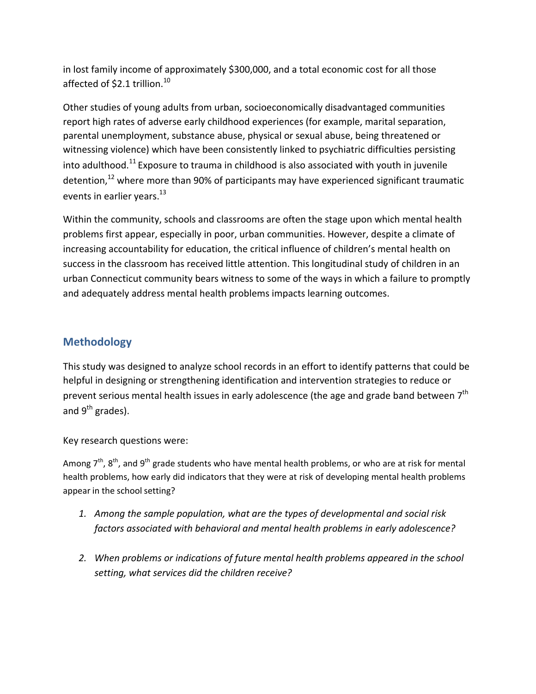in lost family income of approximately \$300,000, and a total economic cost for all those affected of  $$2.1$  trillion.<sup>10</sup>

Other studies of young adults from urban, socioeconomically disadvantaged communities report high rates of adverse early childhood experiences (for example, marital separation, parental unemployment, substance abuse, physical or sexual abuse, being threatened or witnessing violence) which have been consistently linked to psychiatric difficulties persisting into adulthood.<sup>11</sup> Exposure to trauma in childhood is also associated with youth in juvenile detention, $12$  where more than 90% of participants may have experienced significant traumatic events in earlier years.<sup>13</sup>

Within the community, schools and classrooms are often the stage upon which mental health problems first appear, especially in poor, urban communities. However, despite a climate of increasing accountability for education, the critical influence of children's mental health on success in the classroom has received little attention. This longitudinal study of children in an urban Connecticut community bears witness to some of the ways in which a failure to promptly and adequately address mental health problems impacts learning outcomes.

## **Methodology**

This study was designed to analyze school records in an effort to identify patterns that could be helpful in designing or strengthening identification and intervention strategies to reduce or prevent serious mental health issues in early adolescence (the age and grade band between  $7<sup>th</sup>$ and  $9^{th}$  grades).

Key research questions were:

Among  $7<sup>th</sup>$ , 8<sup>th</sup>, and 9<sup>th</sup> grade students who have mental health problems, or who are at risk for mental health problems, how early did indicators that they were at risk of developing mental health problems appear in the school setting?

- *1. Among the sample population, what are the types of developmental and social risk factors associated with behavioral and mental health problems in early adolescence?*
- *2. When problems or indications of future mental health problems appeared in the school setting, what services did the children receive?*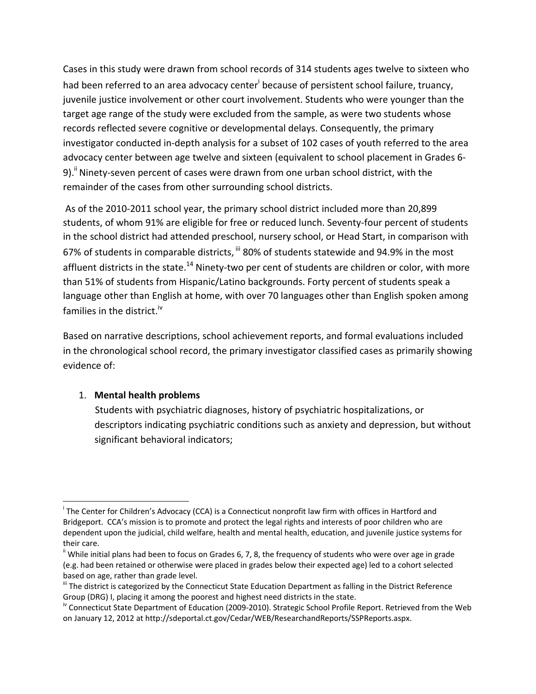Cases in this study were drawn from school records of 314 students ages twelve to sixteen who had been referred to an area advocacy center<sup>i</sup> because of persistent school failure, truancy, juvenile justice involvement or other court involvement. Students who were younger than the target age range of the study were excluded from the sample, as were two students whose records reflected severe cognitive or developmental delays. Consequently, the primary investigator conducted in‐depth analysis for a subset of 102 cases of youth referred to the area advocacy center between age twelve and sixteen (equivalent to school placement in Grades 6‐ 9).<sup>ii</sup> Ninety-seven percent of cases were drawn from one urban school district, with the remainder of the cases from other surrounding school districts.

As of the 2010‐2011 school year, the primary school district included more than 20,899 students, of whom 91% are eligible for free or reduced lunch. Seventy‐four percent of students in the school district had attended preschool, nursery school, or Head Start, in comparison with 67% of students in comparable districts, iii 80% of students statewide and 94.9% in the most affluent districts in the state.<sup>14</sup> Ninety-two per cent of students are children or color, with more than 51% of students from Hispanic/Latino backgrounds. Forty percent of students speak a language other than English at home, with over 70 languages other than English spoken among families in the district.<sup>iv</sup>

Based on narrative descriptions, school achievement reports, and formal evaluations included in the chronological school record, the primary investigator classified cases as primarily showing evidence of:

#### 1. **Mental health problems**

Students with psychiatric diagnoses, history of psychiatric hospitalizations, or descriptors indicating psychiatric conditions such as anxiety and depression, but without significant behavioral indicators;

i The Center for Children's Advocacy (CCA) is a Connecticut nonprofit law firm with offices in Hartford and Bridgeport. CCA's mission is to promote and protect the legal rights and interests of poor children who are dependent upon the judicial, child welfare, health and mental health, education, and juvenile justice systems for their care.

 $\mathbf{u}$  While initial plans had been to focus on Grades 6, 7, 8, the frequency of students who were over age in grade (e.g. had been retained or otherwise were placed in grades below their expected age) led to a cohort selected based on age, rather than grade level.<br>iii The district is categorized by the Connecticut State Education Department as falling in the District Reference

Group (DRG) I, placing it among the poorest and highest need districts in the state.<br>iv Connecticut State Department of Education (2009‐2010). Strategic School Profile Report. Retrieved from the Web

on January 12, 2012 at http://sdeportal.ct.gov/Cedar/WEB/ResearchandReports/SSPReports.aspx.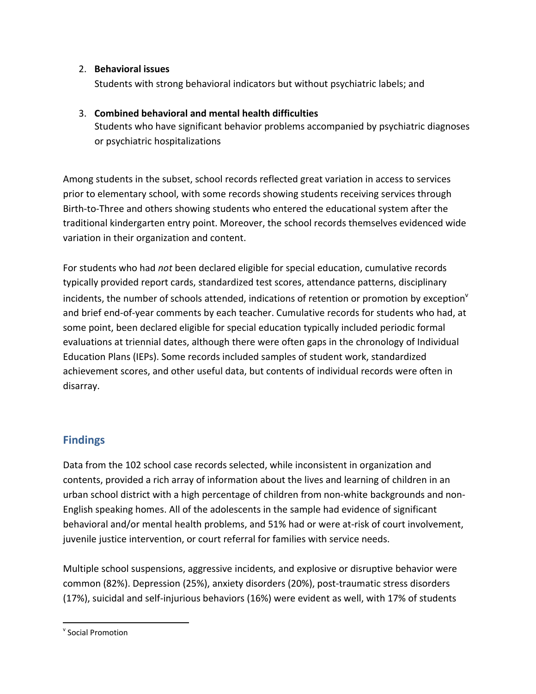#### 2. **Behavioral issues**

Students with strong behavioral indicators but without psychiatric labels; and

#### 3. **Combined behavioral and mental health difficulties**

Students who have significant behavior problems accompanied by psychiatric diagnoses or psychiatric hospitalizations

Among students in the subset, school records reflected great variation in access to services prior to elementary school, with some records showing students receiving services through Birth‐to‐Three and others showing students who entered the educational system after the traditional kindergarten entry point. Moreover, the school records themselves evidenced wide variation in their organization and content.

For students who had *not* been declared eligible for special education, cumulative records typically provided report cards, standardized test scores, attendance patterns, disciplinary incidents, the number of schools attended, indications of retention or promotion by exception $<sup>v</sup>$ </sup> and brief end‐of‐year comments by each teacher. Cumulative records for students who had, at some point, been declared eligible for special education typically included periodic formal evaluations at triennial dates, although there were often gaps in the chronology of Individual Education Plans (IEPs). Some records included samples of student work, standardized achievement scores, and other useful data, but contents of individual records were often in disarray.

## **Findings**

Data from the 102 school case records selected, while inconsistent in organization and contents, provided a rich array of information about the lives and learning of children in an urban school district with a high percentage of children from non‐white backgrounds and non‐ English speaking homes. All of the adolescents in the sample had evidence of significant behavioral and/or mental health problems, and 51% had or were at‐risk of court involvement, juvenile justice intervention, or court referral for families with service needs.

Multiple school suspensions, aggressive incidents, and explosive or disruptive behavior were common (82%). Depression (25%), anxiety disorders (20%), post‐traumatic stress disorders (17%), suicidal and self‐injurious behaviors (16%) were evident as well, with 17% of students

<sup>v</sup> Social Promotion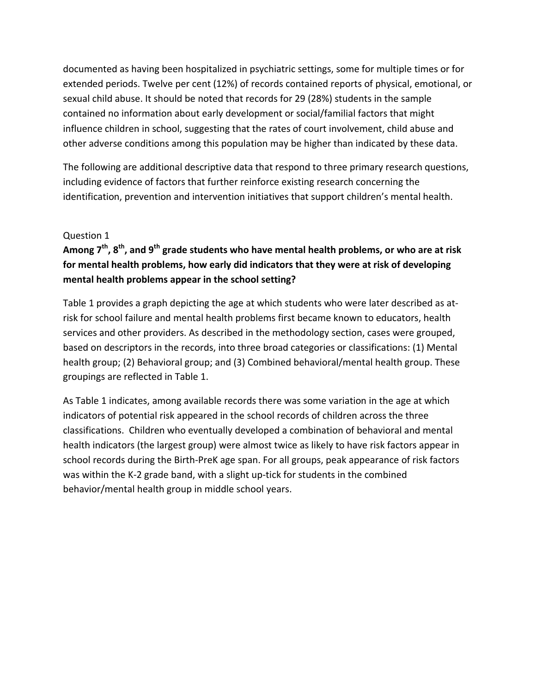documented as having been hospitalized in psychiatric settings, some for multiple times or for extended periods. Twelve per cent (12%) of records contained reports of physical, emotional, or sexual child abuse. It should be noted that records for 29 (28%) students in the sample contained no information about early development or social/familial factors that might influence children in school, suggesting that the rates of court involvement, child abuse and other adverse conditions among this population may be higher than indicated by these data.

The following are additional descriptive data that respond to three primary research questions, including evidence of factors that further reinforce existing research concerning the identification, prevention and intervention initiatives that support children's mental health.

#### Question 1

## **Among 7th, 8th, and 9th grade students who have mental health problems, or who are at risk for mental health problems, how early did indicators that they were at risk of developing mental health problems appear in the school setting?**

Table 1 provides a graph depicting the age at which students who were later described as at‐ risk for school failure and mental health problems first became known to educators, health services and other providers. As described in the methodology section, cases were grouped, based on descriptors in the records, into three broad categories or classifications: (1) Mental health group; (2) Behavioral group; and (3) Combined behavioral/mental health group. These groupings are reflected in Table 1.

As Table 1 indicates, among available records there was some variation in the age at which indicators of potential risk appeared in the school records of children across the three classifications. Children who eventually developed a combination of behavioral and mental health indicators (the largest group) were almost twice as likely to have risk factors appear in school records during the Birth‐PreK age span. For all groups, peak appearance of risk factors was within the K-2 grade band, with a slight up-tick for students in the combined behavior/mental health group in middle school years.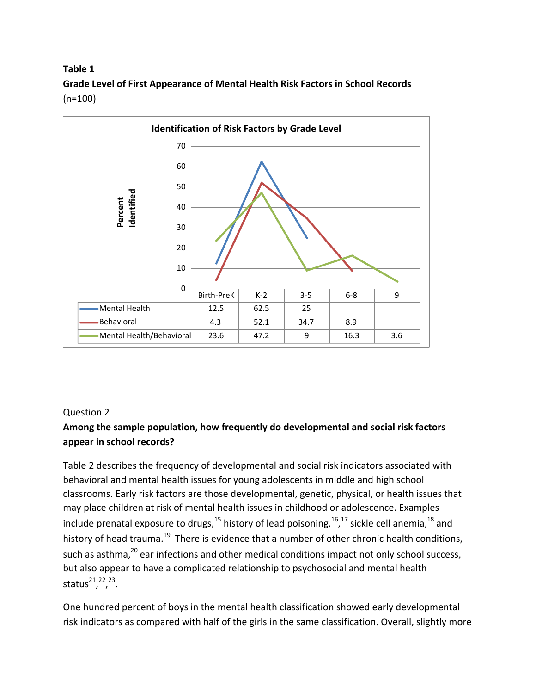## **Table 1 Grade Level of First Appearance of Mental Health Risk Factors in School Records** (n=100)



#### Question 2

## **Among the sample population, how frequently do developmental and social risk factors appear in school records?**

Table 2 describes the frequency of developmental and social risk indicators associated with behavioral and mental health issues for young adolescents in middle and high school classrooms. Early risk factors are those developmental, genetic, physical, or health issues that may place children at risk of mental health issues in childhood or adolescence. Examples include prenatal exposure to drugs,  $^{15}$  history of lead poisoning,  $^{16}$ ,  $^{17}$  sickle cell anemia,  $^{18}$  and history of head trauma.<sup>19</sup> There is evidence that a number of other chronic health conditions, such as asthma, $20$  ear infections and other medical conditions impact not only school success, but also appear to have a complicated relationship to psychosocial and mental health status<sup>21</sup>,<sup>22</sup>,<sup>23</sup>.

One hundred percent of boys in the mental health classification showed early developmental risk indicators as compared with half of the girls in the same classification. Overall, slightly more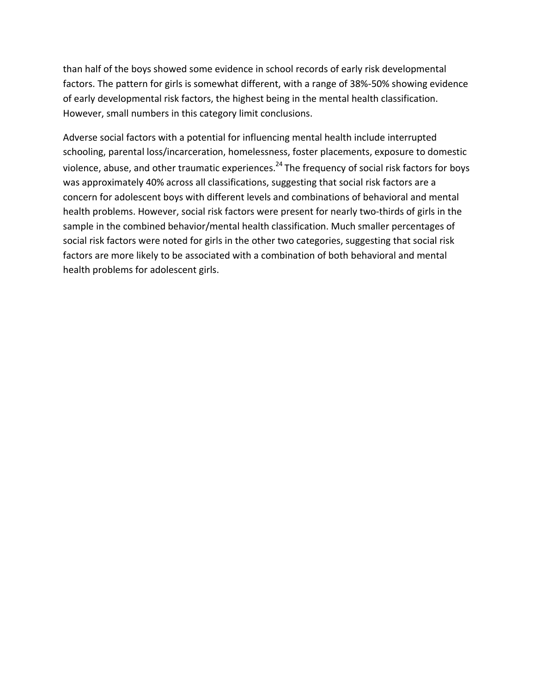than half of the boys showed some evidence in school records of early risk developmental factors. The pattern for girls is somewhat different, with a range of 38%‐50% showing evidence of early developmental risk factors, the highest being in the mental health classification. However, small numbers in this category limit conclusions.

Adverse social factors with a potential for influencing mental health include interrupted schooling, parental loss/incarceration, homelessness, foster placements, exposure to domestic violence, abuse, and other traumatic experiences.<sup>24</sup> The frequency of social risk factors for boys was approximately 40% across all classifications, suggesting that social risk factors are a concern for adolescent boys with different levels and combinations of behavioral and mental health problems. However, social risk factors were present for nearly two-thirds of girls in the sample in the combined behavior/mental health classification. Much smaller percentages of social risk factors were noted for girls in the other two categories, suggesting that social risk factors are more likely to be associated with a combination of both behavioral and mental health problems for adolescent girls.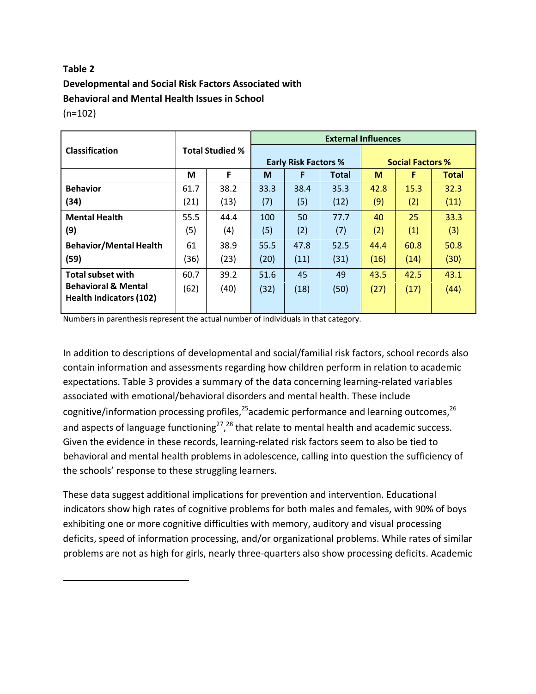#### **Table 2**

# **Developmental and Social Risk Factors Associated with Behavioral and Mental Health Issues in School**

(n=102)

|                                                                  |      |                        | <b>External Influences</b> |                             |              |                         |      |              |  |  |
|------------------------------------------------------------------|------|------------------------|----------------------------|-----------------------------|--------------|-------------------------|------|--------------|--|--|
| <b>Classification</b>                                            |      | <b>Total Studied %</b> |                            |                             |              |                         |      |              |  |  |
|                                                                  |      |                        |                            | <b>Early Risk Factors %</b> |              | <b>Social Factors %</b> |      |              |  |  |
|                                                                  | М    | F                      | M                          | F                           | <b>Total</b> | M                       | F    | <b>Total</b> |  |  |
| <b>Behavior</b>                                                  | 61.7 | 38.2                   | 33.3                       | 38.4                        | 35.3         | 42.8                    | 15.3 | 32.3         |  |  |
| (34)                                                             | (21) | (13)                   | (7)                        | (5)                         | (12)         | (9)                     | (2)  | (11)         |  |  |
| <b>Mental Health</b>                                             | 55.5 | 44.4                   | 100                        | 50                          | 77.7         | 40                      | 25   | 33.3         |  |  |
| (9)                                                              | (5)  | (4)                    | (5)                        | (2)                         | (7)          | (2)                     | (1)  | (3)          |  |  |
| <b>Behavior/Mental Health</b>                                    | 61   | 38.9                   | 55.5                       | 47.8                        | 52.5         | 44.4                    | 60.8 | 50.8         |  |  |
| (59)                                                             | (36) | (23)                   | (20)                       | (11)                        | (31)         | (16)                    | (14) | (30)         |  |  |
| <b>Total subset with</b>                                         | 60.7 | 39.2                   | 51.6                       | 45                          | 49           | 43.5                    | 42.5 | 43.1         |  |  |
| <b>Behavioral &amp; Mental</b><br><b>Health Indicators (102)</b> | (62) | (40)                   | (32)                       | (18)                        | (50)         | (27)                    | (17) | (44)         |  |  |
|                                                                  |      |                        |                            |                             |              |                         |      |              |  |  |

Numbers in parenthesis represent the actual number of individuals in that category.

In addition to descriptions of developmental and social/familial risk factors, school records also contain information and assessments regarding how children perform in relation to academic expectations. Table 3 provides a summary of the data concerning learning‐related variables associated with emotional/behavioral disorders and mental health. These include cognitive/information processing profiles, $^{25}$ academic performance and learning outcomes, $^{26}$ and aspects of language functioning<sup>27</sup>,<sup>28</sup> that relate to mental health and academic success. Given the evidence in these records, learning‐related risk factors seem to also be tied to behavioral and mental health problems in adolescence, calling into question the sufficiency of the schools' response to these struggling learners.

These data suggest additional implications for prevention and intervention. Educational indicators show high rates of cognitive problems for both males and females, with 90% of boys exhibiting one or more cognitive difficulties with memory, auditory and visual processing deficits, speed of information processing, and/or organizational problems. While rates of similar problems are not as high for girls, nearly three‐quarters also show processing deficits. Academic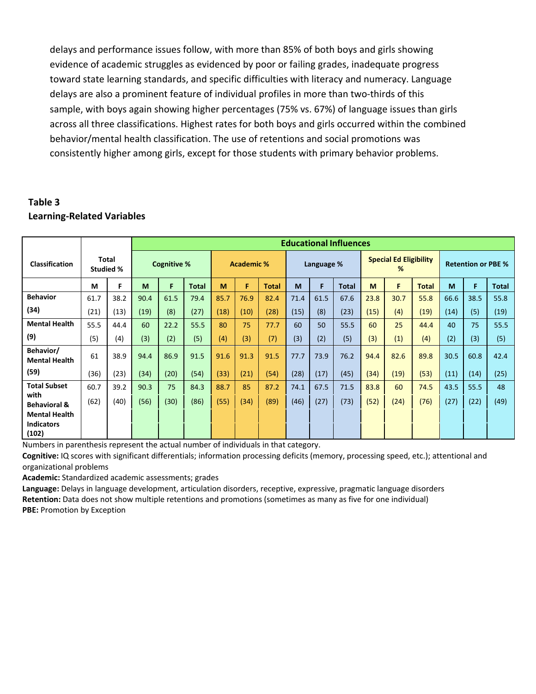delays and performance issues follow, with more than 85% of both boys and girls showing evidence of academic struggles as evidenced by poor or failing grades, inadequate progress toward state learning standards, and specific difficulties with literacy and numeracy. Language delays are also a prominent feature of individual profiles in more than two‐thirds of this sample, with boys again showing higher percentages (75% vs. 67%) of language issues than girls across all three classifications. Highest rates for both boys and girls occurred within the combined behavior/mental health classification. The use of retentions and social promotions was consistently higher among girls, except for those students with primary behavior problems.

## **Table 3 Learning‐Related Variables**

|                                                    |                                  |                    | <b>Educational Influences</b> |                   |       |      |            |              |      |                                    |              |      |                           |              |      |      |              |
|----------------------------------------------------|----------------------------------|--------------------|-------------------------------|-------------------|-------|------|------------|--------------|------|------------------------------------|--------------|------|---------------------------|--------------|------|------|--------------|
| <b>Classification</b>                              | <b>Total</b><br><b>Studied %</b> | <b>Cognitive %</b> |                               | <b>Academic %</b> |       |      | Language % |              |      | <b>Special Ed Eligibility</b><br>% |              |      | <b>Retention or PBE %</b> |              |      |      |              |
|                                                    | M                                | F                  | M                             | F                 | Total | M    | F          | <b>Total</b> | M    | F.                                 | <b>Total</b> | M    | F                         | <b>Total</b> | M    | F    | <b>Total</b> |
| <b>Behavior</b>                                    | 61.7                             | 38.2               | 90.4                          | 61.5              | 79.4  | 85.7 | 76.9       | 82.4         | 71.4 | 61.5                               | 67.6         | 23.8 | 30.7                      | 55.8         | 66.6 | 38.5 | 55.8         |
| (34)                                               | (21)                             | (13)               | (19)                          | (8)               | (27)  | (18) | (10)       | (28)         | (15) | (8)                                | (23)         | (15) | (4)                       | (19)         | (14) | (5)  | (19)         |
| <b>Mental Health</b>                               | 55.5                             | 44.4               | 60                            | 22.2              | 55.5  | 80   | 75         | 77.7         | 60   | 50                                 | 55.5         | 60   | 25                        | 44.4         | 40   | 75   | 55.5         |
| (9)                                                | (5)                              | (4)                | (3)                           | (2)               | (5)   | (4)  | (3)        | (7)          | (3)  | (2)                                | (5)          | (3)  | (1)                       | (4)          | (2)  | (3)  | (5)          |
| Behavior/<br><b>Mental Health</b>                  | 61                               | 38.9               | 94.4                          | 86.9              | 91.5  | 91.6 | 91.3       | 91.5         | 77.7 | 73.9                               | 76.2         | 94.4 | 82.6                      | 89.8         | 30.5 | 60.8 | 42.4         |
| (59)                                               | (36)                             | (23)               | (34)                          | (20)              | (54)  | (33) | (21)       | (54)         | (28) | (17)                               | (45)         | (34) | (19)                      | (53)         | (11) | (14) | (25)         |
| <b>Total Subset</b>                                | 60.7                             | 39.2               | 90.3                          | 75                | 84.3  | 88.7 | 85         | 87.2         | 74.1 | 67.5                               | 71.5         | 83.8 | 60                        | 74.5         | 43.5 | 55.5 | 48           |
| with<br><b>Behavioral &amp;</b>                    | (62)                             | (40)               | (56)                          | (30)              | (86)  | (55) | (34)       | (89)         | (46) | (27)                               | (73)         | (52) | (24)                      | (76)         | (27) | (22) | (49)         |
| <b>Mental Health</b><br><b>Indicators</b><br>(102) |                                  |                    |                               |                   |       |      |            |              |      |                                    |              |      |                           |              |      |      |              |

Numbers in parenthesis represent the actual number of individuals in that category.

 **Cognitive:** IQ scores with significant differentials; information processing deficits (memory, processing speed, etc.); attentional and organizational problems

 **Academic:** Standardized academic assessments; grades

 **Language:** Delays in language development, articulation disorders, receptive, expressive, pragmatic language disorders  **Retention:** Data does not show multiple retentions and promotions (sometimes as many as five for one individual) **PBE: Promotion by Exception**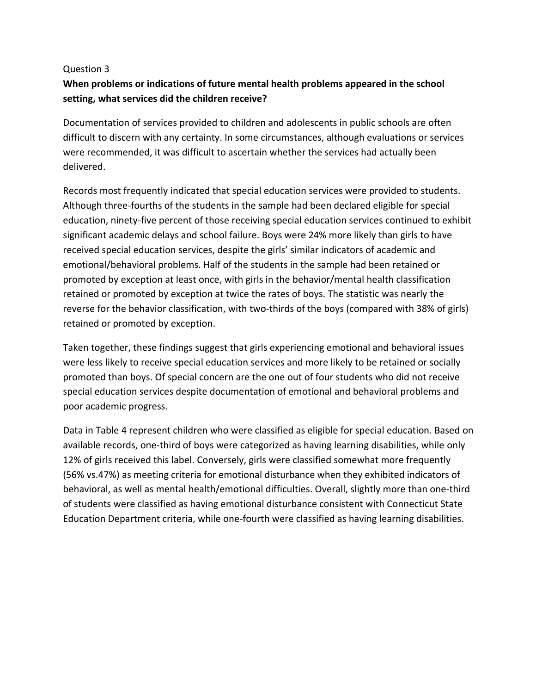#### Question 3

### **When problems or indications of future mental health problems appeared in the school setting, what services did the children receive?**

Documentation of services provided to children and adolescents in public schools are often difficult to discern with any certainty. In some circumstances, although evaluations or services were recommended, it was difficult to ascertain whether the services had actually been delivered.

Records most frequently indicated that special education services were provided to students. Although three‐fourths of the students in the sample had been declared eligible for special education, ninety‐five percent of those receiving special education services continued to exhibit significant academic delays and school failure. Boys were 24% more likely than girls to have received special education services, despite the girls' similar indicators of academic and emotional/behavioral problems. Half of the students in the sample had been retained or promoted by exception at least once, with girls in the behavior/mental health classification retained or promoted by exception at twice the rates of boys. The statistic was nearly the reverse for the behavior classification, with two-thirds of the boys (compared with 38% of girls) retained or promoted by exception.

Taken together, these findings suggest that girls experiencing emotional and behavioral issues were less likely to receive special education services and more likely to be retained or socially promoted than boys. Of special concern are the one out of four students who did not receive special education services despite documentation of emotional and behavioral problems and poor academic progress.

Data in Table 4 represent children who were classified as eligible for special education. Based on available records, one-third of boys were categorized as having learning disabilities, while only 12% of girls received this label. Conversely, girls were classified somewhat more frequently (56% vs.47%) as meeting criteria for emotional disturbance when they exhibited indicators of behavioral, as well as mental health/emotional difficulties. Overall, slightly more than one‐third of students were classified as having emotional disturbance consistent with Connecticut State Education Department criteria, while one‐fourth were classified as having learning disabilities.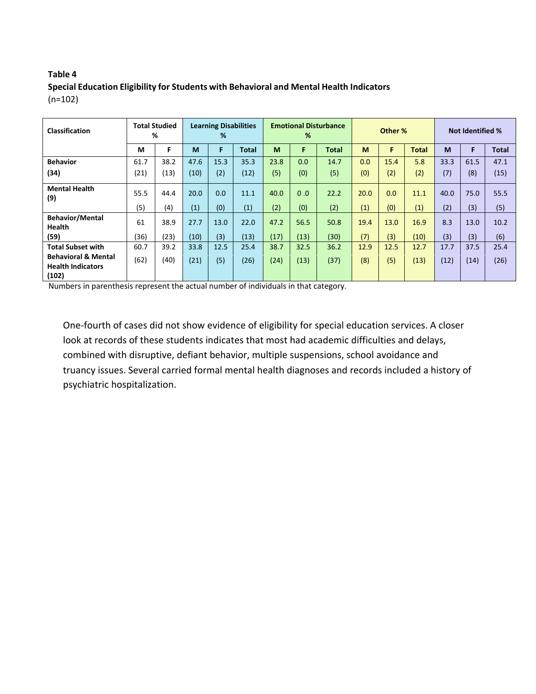#### **Table 4 Special Education Eligibility for Students with Behavioral and Mental Health Indicators** (n=102)

| Classification                                                      | <b>Total Studied</b><br>% |      | <b>Learning Disabilities</b><br>% |      | <b>Emotional Disturbance</b><br>% |      |      | Other % |      |      | <b>Not Identified %</b> |      |      |              |
|---------------------------------------------------------------------|---------------------------|------|-----------------------------------|------|-----------------------------------|------|------|---------|------|------|-------------------------|------|------|--------------|
|                                                                     | M                         | F    | M                                 | F    | <b>Total</b>                      | M    | F    | Total   | M    | F    | <b>Total</b>            | M    | F    | <b>Total</b> |
| <b>Behavior</b>                                                     | 61.7                      | 38.2 | 47.6                              | 15.3 | 35.3                              | 23.8 | 0.0  | 14.7    | 0.0  | 15.4 | 5.8                     | 33.3 | 61.5 | 47.1         |
| (34)                                                                | (21)                      | (13) | (10)                              | (2)  | (12)                              | (5)  | (0)  | (5)     | (0)  | (2)  | (2)                     | (7)  | (8)  | (15)         |
| <b>Mental Health</b><br>(9)                                         | 55.5                      | 44.4 | 20.0                              | 0.0  | 11.1                              | 40.0 | 0.0  | 22.2    | 20.0 | 0.0  | 11.1                    | 40.0 | 75.0 | 55.5         |
|                                                                     | (5)                       | (4)  | (1)                               | (0)  | (1)                               | (2)  | (0)  | (2)     | (1)  | (0)  | (1)                     | (2)  | (3)  | (5)          |
| <b>Behavior/Mental</b><br><b>Health</b>                             | 61                        | 38.9 | 27.7                              | 13.0 | 22.0                              | 47.2 | 56.5 | 50.8    | 19.4 | 13.0 | 16.9                    | 8.3  | 13.0 | 10.2         |
| (59)                                                                | (36)                      | (23) | (10)                              | (3)  | (13)                              | (17) | (13) | (30)    | (7)  | (3)  | (10)                    | (3)  | (3)  | (6)          |
| <b>Total Subset with</b>                                            | 60.7                      | 39.2 | 33.8                              | 12.5 | 25.4                              | 38.7 | 32.5 | 36.2    | 12.9 | 12.5 | 12.7                    | 17.7 | 37.5 | 25.4         |
| <b>Behavioral &amp; Mental</b><br><b>Health Indicators</b><br>(102) | (62)                      | (40) | (21)                              | (5)  | (26)                              | (24) | (13) | (37)    | (8)  | (5)  | (13)                    | (12) | (14) | (26)         |

Numbers in parenthesis represent the actual number of individuals in that category.

One-fourth of cases did not show evidence of eligibility for special education services. A closer look at records of these students indicates that most had academic difficulties and delays, combined with disruptive, defiant behavior, multiple suspensions, school avoidance and truancy issues. Several carried formal mental health diagnoses and records included a history of psychiatric hospitalization.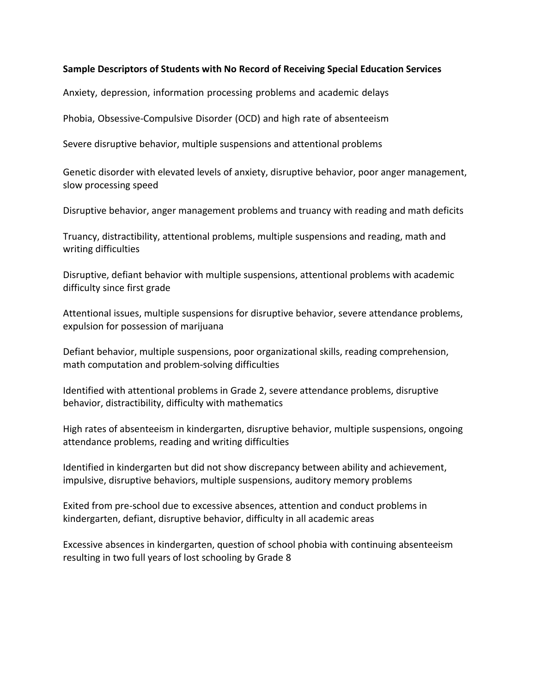#### **Sample Descriptors of Students with No Record of Receiving Special Education Services**

Anxiety, depression, information processing problems and academic delays

Phobia, Obsessive‐Compulsive Disorder (OCD) and high rate of absenteeism

Severe disruptive behavior, multiple suspensions and attentional problems

Genetic disorder with elevated levels of anxiety, disruptive behavior, poor anger management, slow processing speed

Disruptive behavior, anger management problems and truancy with reading and math deficits

Truancy, distractibility, attentional problems, multiple suspensions and reading, math and writing difficulties

Disruptive, defiant behavior with multiple suspensions, attentional problems with academic difficulty since first grade

Attentional issues, multiple suspensions for disruptive behavior, severe attendance problems, expulsion for possession of marijuana

Defiant behavior, multiple suspensions, poor organizational skills, reading comprehension, math computation and problem‐solving difficulties

Identified with attentional problems in Grade 2, severe attendance problems, disruptive behavior, distractibility, difficulty with mathematics

High rates of absenteeism in kindergarten, disruptive behavior, multiple suspensions, ongoing attendance problems, reading and writing difficulties

Identified in kindergarten but did not show discrepancy between ability and achievement, impulsive, disruptive behaviors, multiple suspensions, auditory memory problems

Exited from pre‐school due to excessive absences, attention and conduct problems in kindergarten, defiant, disruptive behavior, difficulty in all academic areas

Excessive absences in kindergarten, question of school phobia with continuing absenteeism resulting in two full years of lost schooling by Grade 8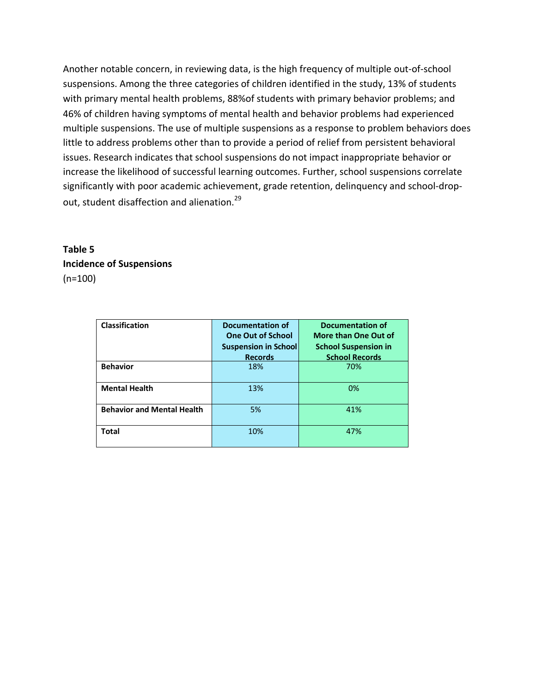Another notable concern, in reviewing data, is the high frequency of multiple out‐of‐school suspensions. Among the three categories of children identified in the study, 13% of students with primary mental health problems, 88%of students with primary behavior problems; and 46% of children having symptoms of mental health and behavior problems had experienced multiple suspensions. The use of multiple suspensions as a response to problem behaviors does little to address problems other than to provide a period of relief from persistent behavioral issues. Research indicates that school suspensions do not impact inappropriate behavior or increase the likelihood of successful learning outcomes. Further, school suspensions correlate significantly with poor academic achievement, grade retention, delinquency and school‐drop‐ out, student disaffection and alienation.<sup>29</sup>

## **Table 5 Incidence of Suspensions** (n=100)

| <b>Classification</b>             | <b>Documentation of</b><br><b>One Out of School</b><br><b>Suspension in School</b><br><b>Records</b> | <b>Documentation of</b><br>More than One Out of<br><b>School Suspension in</b><br><b>School Records</b> |
|-----------------------------------|------------------------------------------------------------------------------------------------------|---------------------------------------------------------------------------------------------------------|
| <b>Behavior</b>                   | 18%                                                                                                  | 70%                                                                                                     |
| <b>Mental Health</b>              | 13%                                                                                                  | 0%                                                                                                      |
| <b>Behavior and Mental Health</b> | 5%                                                                                                   | 41%                                                                                                     |
| <b>Total</b>                      | 10%                                                                                                  | 47%                                                                                                     |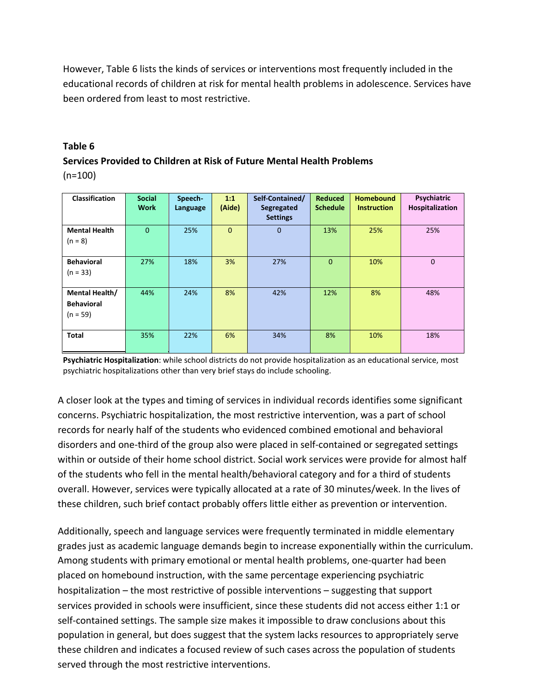However, Table 6 lists the kinds of services or interventions most frequently included in the educational records of children at risk for mental health problems in adolescence. Services have been ordered from least to most restrictive.

#### **Table 6**

#### **Services Provided to Children at Risk of Future Mental Health Problems** (n=100)

| <b>Classification</b> | <b>Social</b><br><b>Work</b> | Speech-<br>Language | 1:1<br>(Aide) | Self-Contained/<br>Segregated<br><b>Settings</b> | <b>Reduced</b><br><b>Schedule</b> | <b>Homebound</b><br><b>Instruction</b> | Psychiatric<br>Hospitalization |
|-----------------------|------------------------------|---------------------|---------------|--------------------------------------------------|-----------------------------------|----------------------------------------|--------------------------------|
| <b>Mental Health</b>  | $\overline{0}$               | 25%                 | $\mathbf{0}$  | $\mathbf{0}$                                     | 13%                               | 25%                                    | 25%                            |
| $(n = 8)$             |                              |                     |               |                                                  |                                   |                                        |                                |
| <b>Behavioral</b>     | 27%                          | 18%                 | 3%            | 27%                                              | $\mathbf{0}$                      | 10%                                    | $\Omega$                       |
| $(n = 33)$            |                              |                     |               |                                                  |                                   |                                        |                                |
| Mental Health/        | 44%                          | 24%                 | 8%            | 42%                                              | 12%                               | 8%                                     | 48%                            |
| <b>Behavioral</b>     |                              |                     |               |                                                  |                                   |                                        |                                |
| $(n = 59)$            |                              |                     |               |                                                  |                                   |                                        |                                |
| <b>Total</b>          | 35%                          | 22%                 | 6%            | 34%                                              | 8%                                | 10%                                    | 18%                            |

**Psychiatric Hospitalization**: while school districts do not provide hospitalization as an educational service, most psychiatric hospitalizations other than very brief stays do include schooling.

A closer look at the types and timing of services in individual records identifies some significant concerns. Psychiatric hospitalization, the most restrictive intervention, was a part of school records for nearly half of the students who evidenced combined emotional and behavioral disorders and one‐third of the group also were placed in self‐contained or segregated settings within or outside of their home school district. Social work services were provide for almost half of the students who fell in the mental health/behavioral category and for a third of students overall. However, services were typically allocated at a rate of 30 minutes/week. In the lives of these children, such brief contact probably offers little either as prevention or intervention.

Additionally, speech and language services were frequently terminated in middle elementary grades just as academic language demands begin to increase exponentially within the curriculum. Among students with primary emotional or mental health problems, one‐quarter had been placed on homebound instruction, with the same percentage experiencing psychiatric hospitalization – the most restrictive of possible interventions – suggesting that support services provided in schools were insufficient, since these students did not access either 1:1 or self-contained settings. The sample size makes it impossible to draw conclusions about this population in general, but does suggest that the system lacks resources to appropriately serve these children and indicates a focused review of such cases across the population of students served through the most restrictive interventions.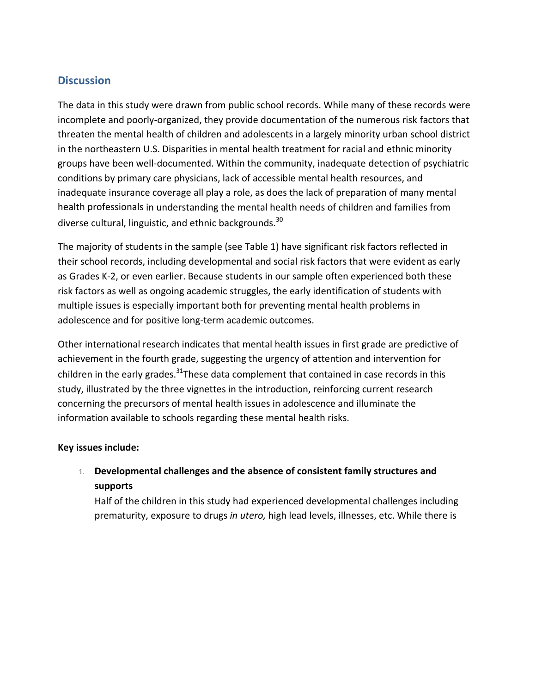## **Discussion**

The data in this study were drawn from public school records. While many of these records were incomplete and poorly‐organized, they provide documentation of the numerous risk factors that threaten the mental health of children and adolescents in a largely minority urban school district in the northeastern U.S. Disparities in mental health treatment for racial and ethnic minority groups have been well‐documented. Within the community, inadequate detection of psychiatric conditions by primary care physicians, lack of accessible mental health resources, and inadequate insurance coverage all play a role, as does the lack of preparation of many mental health professionals in understanding the mental health needs of children and families from diverse cultural, linguistic, and ethnic backgrounds.<sup>30</sup>

The majority of students in the sample (see Table 1) have significant risk factors reflected in their school records, including developmental and social risk factors that were evident as early as Grades K‐2, or even earlier. Because students in our sample often experienced both these risk factors as well as ongoing academic struggles, the early identification of students with multiple issues is especially important both for preventing mental health problems in adolescence and for positive long‐term academic outcomes.

Other international research indicates that mental health issues in first grade are predictive of achievement in the fourth grade, suggesting the urgency of attention and intervention for children in the early grades.<sup>31</sup>These data complement that contained in case records in this study, illustrated by the three vignettes in the introduction, reinforcing current research concerning the precursors of mental health issues in adolescence and illuminate the information available to schools regarding these mental health risks.

#### **Key issues include:**

## 1. **Developmental challenges and the absence of consistent family structures and supports**

Half of the children in this study had experienced developmental challenges including prematurity, exposure to drugs *in utero,* high lead levels, illnesses, etc. While there is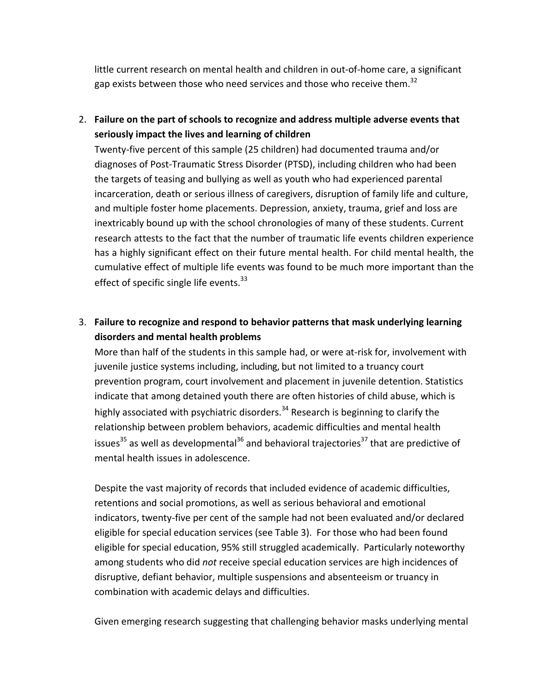little current research on mental health and children in out‐of‐home care, a significant gap exists between those who need services and those who receive them.<sup>32</sup>

## 2. **Failure on the part of schools to recognize and address multiple adverse events that seriously impact the lives and learning of children**

Twenty‐five percent of this sample (25 children) had documented trauma and/or diagnoses of Post‐Traumatic Stress Disorder (PTSD), including children who had been the targets of teasing and bullying as well as youth who had experienced parental incarceration, death or serious illness of caregivers, disruption of family life and culture, and multiple foster home placements. Depression, anxiety, trauma, grief and loss are inextricably bound up with the school chronologies of many of these students. Current research attests to the fact that the number of traumatic life events children experience has a highly significant effect on their future mental health. For child mental health, the cumulative effect of multiple life events was found to be much more important than the effect of specific single life events. $33$ 

## 3. **Failure to recognize and respond to behavior patterns that mask underlying learning disorders and mental health problems**

More than half of the students in this sample had, or were at-risk for, involvement with juvenile justice systems including, including, but not limited to a truancy court prevention program, court involvement and placement in juvenile detention. Statistics indicate that among detained youth there are often histories of child abuse, which is highly associated with psychiatric disorders.<sup>34</sup> Research is beginning to clarify the relationship between problem behaviors, academic difficulties and mental health issues<sup>35</sup> as well as developmental<sup>36</sup> and behavioral trajectories<sup>37</sup> that are predictive of mental health issues in adolescence.

Despite the vast majority of records that included evidence of academic difficulties, retentions and social promotions, as well as serious behavioral and emotional indicators, twenty‐five per cent of the sample had not been evaluated and/or declared eligible for special education services (see Table 3). For those who had been found eligible for special education, 95% still struggled academically. Particularly noteworthy among students who did *not* receive special education services are high incidences of disruptive, defiant behavior, multiple suspensions and absenteeism or truancy in combination with academic delays and difficulties.

Given emerging research suggesting that challenging behavior masks underlying mental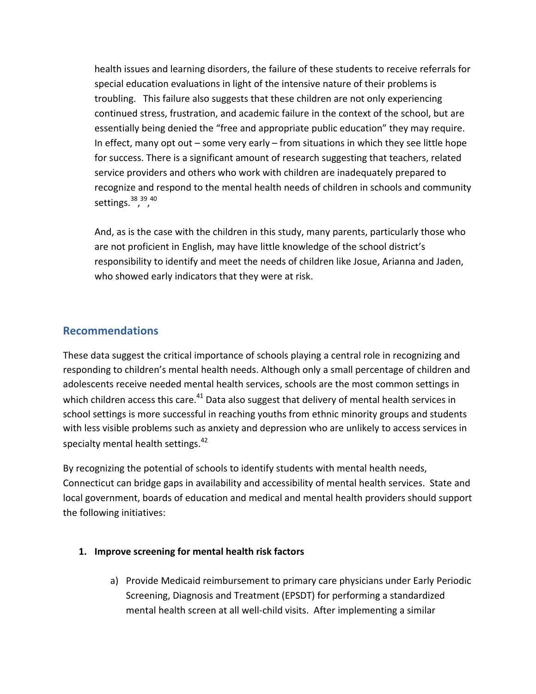health issues and learning disorders, the failure of these students to receive referrals for special education evaluations in light of the intensive nature of their problems is troubling. This failure also suggests that these children are not only experiencing continued stress, frustration, and academic failure in the context of the school, but are essentially being denied the "free and appropriate public education" they may require. In effect, many opt out – some very early – from situations in which they see little hope for success. There is a significant amount of research suggesting that teachers, related service providers and others who work with children are inadequately prepared to recognize and respond to the mental health needs of children in schools and community settings.<sup>38</sup>,<sup>39,40</sup>

And, as is the case with the children in this study, many parents, particularly those who are not proficient in English, may have little knowledge of the school district's responsibility to identify and meet the needs of children like Josue, Arianna and Jaden, who showed early indicators that they were at risk.

### **Recommendations**

These data suggest the critical importance of schools playing a central role in recognizing and responding to children's mental health needs. Although only a small percentage of children and adolescents receive needed mental health services, schools are the most common settings in which children access this care. $41$  Data also suggest that delivery of mental health services in school settings is more successful in reaching youths from ethnic minority groups and students with less visible problems such as anxiety and depression who are unlikely to access services in specialty mental health settings.<sup>42</sup>

By recognizing the potential of schools to identify students with mental health needs, Connecticut can bridge gaps in availability and accessibility of mental health services. State and local government, boards of education and medical and mental health providers should support the following initiatives:

#### **1. Improve screening for mental health risk factors**

a) Provide Medicaid reimbursement to primary care physicians under Early Periodic Screening, Diagnosis and Treatment (EPSDT) for performing a standardized mental health screen at all well‐child visits. After implementing a similar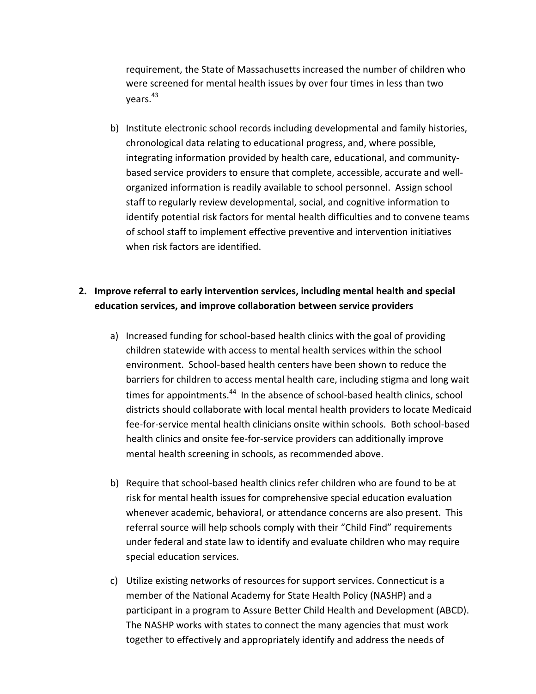requirement, the State of Massachusetts increased the number of children who were screened for mental health issues by over four times in less than two vears.<sup>43</sup>

b) Institute electronic school records including developmental and family histories, chronological data relating to educational progress, and, where possible, integrating information provided by health care, educational, and community‐ based service providers to ensure that complete, accessible, accurate and well‐ organized information is readily available to school personnel. Assign school staff to regularly review developmental, social, and cognitive information to identify potential risk factors for mental health difficulties and to convene teams of school staff to implement effective preventive and intervention initiatives when risk factors are identified.

## **2. Improve referral to early intervention services, including mental health and special education services, and improve collaboration between service providers**

- a) Increased funding for school-based health clinics with the goal of providing children statewide with access to mental health services within the school environment. School-based health centers have been shown to reduce the barriers for children to access mental health care, including stigma and long wait times for appointments.<sup>44</sup> In the absence of school-based health clinics, school districts should collaborate with local mental health providers to locate Medicaid fee‐for‐service mental health clinicians onsite within schools. Both school‐based health clinics and onsite fee‐for‐service providers can additionally improve mental health screening in schools, as recommended above.
- b) Require that school‐based health clinics refer children who are found to be at risk for mental health issues for comprehensive special education evaluation whenever academic, behavioral, or attendance concerns are also present. This referral source will help schools comply with their "Child Find" requirements under federal and state law to identify and evaluate children who may require special education services.
- c) Utilize existing networks of resources for support services. Connecticut is a member of the National Academy for State Health Policy (NASHP) and a participant in a program to Assure Better Child Health and Development (ABCD). The NASHP works with states to connect the many agencies that must work together to effectively and appropriately identify and address the needs of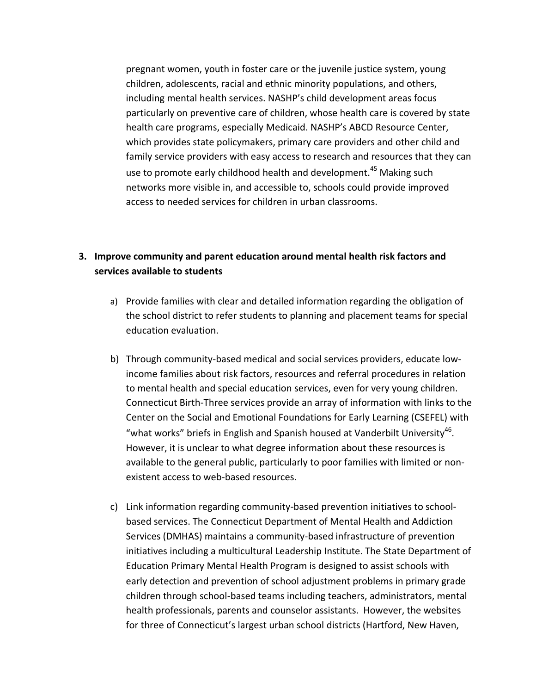pregnant women, youth in foster care or the juvenile justice system, young children, adolescents, racial and ethnic minority populations, and others, including mental health services. NASHP's child development areas focus particularly on preventive care of children, whose health care is covered by state health care programs, especially Medicaid. NASHP's ABCD Resource Center, which provides state policymakers, primary care providers and other child and family service providers with easy access to research and resources that they can use to promote early childhood health and development.<sup>45</sup> Making such networks more visible in, and accessible to, schools could provide improved access to needed services for children in urban classrooms.

### **3. Improve community and parent education around mental health risk factors and services available to students**

- a) Provide families with clear and detailed information regarding the obligation of the school district to refer students to planning and placement teams for special education evaluation.
- b) Through community‐based medical and social services providers, educate low‐ income families about risk factors, resources and referral procedures in relation to mental health and special education services, even for very young children. Connecticut Birth‐Three services provide an array of information with links to the Center on the Social and Emotional Foundations for Early Learning (CSEFEL) with "what works" briefs in English and Spanish housed at Vanderbilt University<sup>46</sup>. However, it is unclear to what degree information about these resources is available to the general public, particularly to poor families with limited or non‐ existent access to web‐based resources.
- c) Link information regarding community‐based prevention initiatives to school‐ based services. The Connecticut Department of Mental Health and Addiction Services (DMHAS) maintains a community‐based infrastructure of prevention initiatives including a multicultural Leadership Institute. The State Department of Education Primary Mental Health Program is designed to assist schools with early detection and prevention of school adjustment problems in primary grade children through school‐based teams including teachers, administrators, mental health professionals, parents and counselor assistants. However, the websites for three of Connecticut's largest urban school districts (Hartford, New Haven,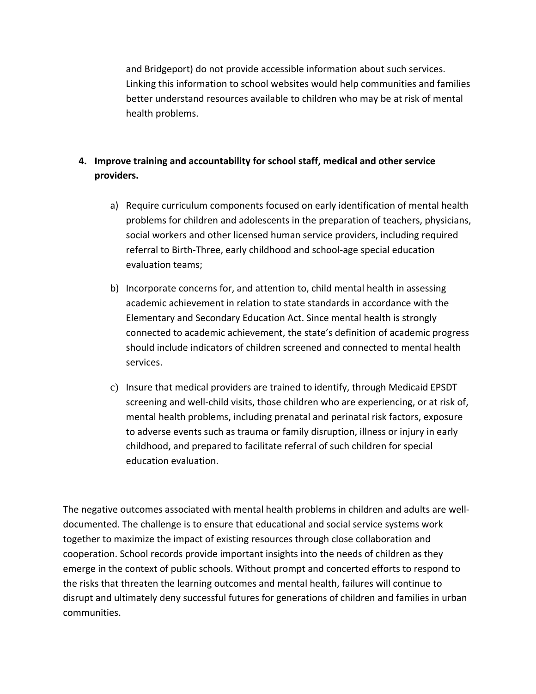and Bridgeport) do not provide accessible information about such services. Linking this information to school websites would help communities and families better understand resources available to children who may be at risk of mental health problems.

## **4. Improve training and accountability for school staff, medical and other service providers.**

- a) Require curriculum components focused on early identification of mental health problems for children and adolescents in the preparation of teachers, physicians, social workers and other licensed human service providers, including required referral to Birth‐Three, early childhood and school‐age special education evaluation teams;
- b) Incorporate concerns for, and attention to, child mental health in assessing academic achievement in relation to state standards in accordance with the Elementary and Secondary Education Act. Since mental health is strongly connected to academic achievement, the state's definition of academic progress should include indicators of children screened and connected to mental health services.
- c) Insure that medical providers are trained to identify, through Medicaid EPSDT screening and well-child visits, those children who are experiencing, or at risk of, mental health problems, including prenatal and perinatal risk factors, exposure to adverse events such as trauma or family disruption, illness or injury in early childhood, and prepared to facilitate referral of such children for special education evaluation.

The negative outcomes associated with mental health problems in children and adults are well‐ documented. The challenge is to ensure that educational and social service systems work together to maximize the impact of existing resources through close collaboration and cooperation. School records provide important insights into the needs of children as they emerge in the context of public schools. Without prompt and concerted efforts to respond to the risks that threaten the learning outcomes and mental health, failures will continue to disrupt and ultimately deny successful futures for generations of children and families in urban communities.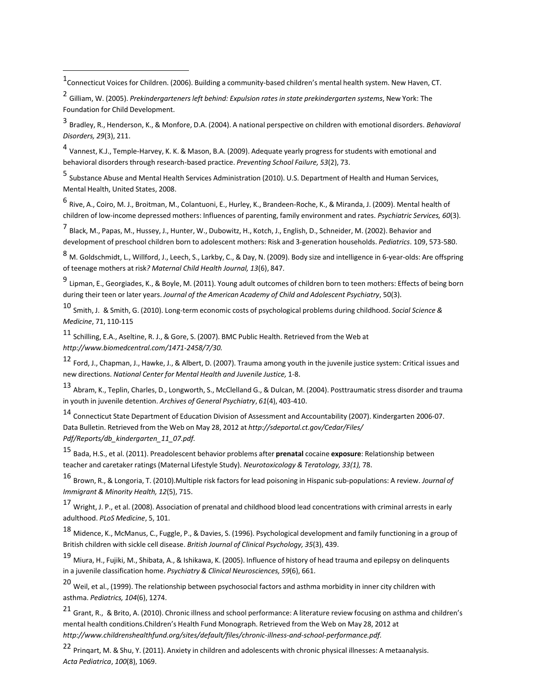<sup>3</sup> Bradley, R., Henderson, K., & Monfore, D.A. (2004). <sup>A</sup> national perspective on children with emotional disorders. *Behavioral Disorders, 29*(3), 211.

<sup>4</sup> Vannest, K.J., Temple‐Harvey, K. K. & Mason, B.A. (2009). Adequate yearly progress forstudents with emotional and behavioral disorders through research‐based practice. *Preventing School Failure, 53*(2), 73.

<sup>5</sup> Substance Abuse and Mental Health Services Administration (2010). U.S. Department of Health and Human Services, Mental Health, United States, 2008.

<sup>6</sup> Rive, A., Coiro, M. J., Broitman, M., Colantuoni, E., Hurley, K., Brandeen‐Roche, K., & Miranda, J. (2009). Mental health of children of low‐income depressed mothers: Influences of parenting, family environment and rates. *Psychiatric Services, 60*(3).

<sup>7</sup> Black, M., Papas, M., Hussey, J., Hunter, W., Dubowitz, H., Kotch, J., English, D., Schneider, M. (2002). Behavior and development of preschool children born to adolescent mothers: Risk and 3‐generation households. *Pediatrics*. 109, 573‐580.

8 M. Goldschmidt, L., Willford, J., Leech, S., Larkby, C., & Day, N. (2009). Body size and intelligence in 6-year-olds: Are offspring of teenage mothers at risk*? Maternal Child Health Journal, 13*(6), 847.

<sup>9</sup> Lipman, E., Georgiades, K., & Boyle, M. (2011). Young adult outcomes of children born to teen mothers: Effects of being born during their teen or later years. *Journal of the American Academy of Child and Adolescent Psychiatry*, 50(3).

<sup>10</sup> Smith, J. & Smith, G. (2010). Long‐term economic costs of psychological problems during childhood. *Social Science & Medicine*, 71, 110‐115

<sup>11</sup> Schilling, E.A., Aseltine, R. J., & Gore, S. (2007). BMC Public Health. Retrieved from the Web at *http://www.biomedcentral.com/1471‐2458/7/30.*

<sup>12</sup> Ford, J., Chapman, J., Hawke, J., & Albert, D. (2007). Trauma among youth in the juvenile justice system: Critical issues and new directions. *National Center for Mental Health and Juvenile Justice,* 1‐8.

<sup>13</sup> Abram, K., Teplin, Charles, D., Longworth, S., McClelland G., & Dulcan, M. (2004). Posttraumatic stress disorder and trauma in youth in juvenile detention. *Archives of General Psychiatry*, *61*(4), 403‐410.

<sup>14</sup> Connecticut State Department of Education Division of Assessment and Accountability (2007). Kindergarten <sup>2006</sup>‐07. Data Bulletin. Retrieved from the Web on May 28, 2012 at *http://sdeportal.ct.gov/Cedar/Files/ Pdf/Reports/db\_kindergarten\_11\_07.pdf.*

<sup>15</sup> Bada, H.S., et al. (2011). Preadolescent behavior problems after **prenatal** cocaine **exposure**: Relationship between teacher and caretaker ratings (Maternal Lifestyle Study). *Neurotoxicology & Teratology, 33(1),* 78.

<sup>16</sup> Brown, R., & Longoria, T. (2010).Multiple risk factors for lead poisoning in Hispanic sub‐populations: <sup>A</sup> review. *Journal of Immigrant & Minority Health, 12*(5), 715.

<sup>17</sup> Wright, J. P., et al. (2008). Association of prenatal and childhood blood lead concentrations with criminal arrests in early adulthood. *PLoS Medicine*, 5, 101.

<sup>18</sup> Midence, K., McManus, C., Fuggle, P., & Davies, S. (1996). Psychological development and family functioning in <sup>a</sup> group of British children with sickle cell disease. *British Journal of Clinical Psychology, 35*(3), 439.

<sup>19</sup> Miura, H., Fujiki, M., Shibata, A., & Ishikawa, K. (2005). Influence of history of head trauma and epilepsy on delinquents in a juvenile classification home. *Psychiatry & Clinical Neurosciences, 59*(6), 661.

20 Weil, et al., (1999). The relationship between psychosocial factors and asthma morbidity in inner city children with asthma. *Pediatrics, 104*(6), 1274.

<sup>21</sup> Grant, R., & Brito, A. (2010). Chronic illness and school performance: <sup>A</sup> literature review focusing on asthma and children's mental health conditions.Children's Health Fund Monograph. Retrieved from the Web on May 28, 2012 at *http://www.childrenshealthfund.org/sites/default/files/chronic‐illness‐and‐school‐performance.pdf.*

<sup>22</sup> Prinqart, M. & Shu, Y. (2011). Anxiety in children and adolescents with chronic physical illnesses: <sup>A</sup> metaanalysis. *Acta Pediatrica*, *100*(8), 1069.

<sup>1&</sup>lt;br>Connecticut Voices for Children. (2006). Building a community-based children's mental health system. New Haven, CT.

<sup>2</sup> Gilliam, W. (2005). *Prekindergarteners left behind: Expulsion rates in state prekindergarten systems*, New York: The Foundation for Child Development.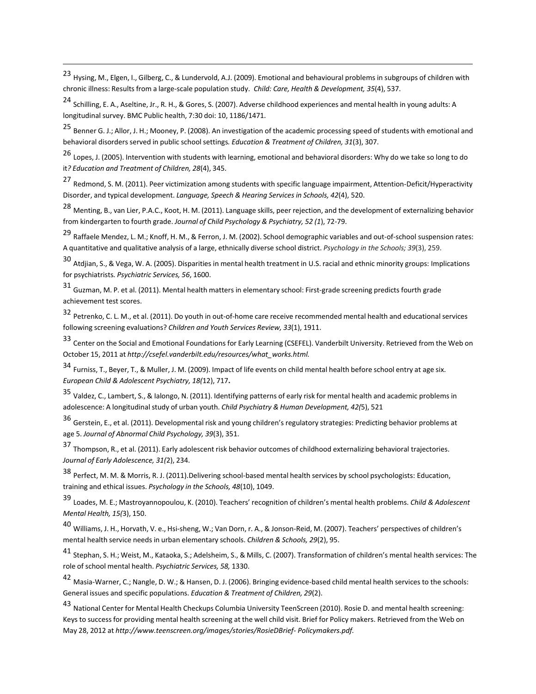<sup>23</sup> Hysing, M., Elgen, I., Gilberg, C., & Lundervold, A.J. (2009). Emotional and behavioural problems in subgroups of children with chronic illness: Results from a large‐scale population study. *Child: Care, Health & Development, 35*(4), 537.

<sup>24</sup> Schilling, E. A., Aseltine, Jr., R. H., & Gores, S. (2007). Adverse childhood experiences and mental health in young adults: <sup>A</sup> longitudinal survey. BMC Public health, 7:30 doi: 10, 1186/1471.

25 Benner G. J.; Allor, J. H.; Mooney, P. (2008). An investigation of the academic processing speed of students with emotional and behavioral disorders served in public schoolsettings*. Education & Treatment of Children, 31*(3), 307.

<sup>26</sup> Lopes, J. (2005). Intervention with students with learning, emotional and behavioral disorders: Why do we take so long to do it*? Education and Treatment of Children, 28*(4), 345.

27 Redmond, S. M. (2011). Peer victimization among students with specific language impairment, Attention-Deficit/Hyperactivity Disorder, and typical development. *Language, Speech & Hearing Services in Schools, 42*(4), 520.

<sup>28</sup> Menting, B., van Lier, P.A.C., Koot, H. M. (2011). Language skills, peer rejection, and the development of externalizing behavior from kindergarten to fourth grade. *Journal of Child Psychology & Psychiatry, 52 (1*), 72‐79.

<sup>29</sup> Raffaele Mendez, L. M.; Knoff, H. M., & Ferron, J. M. (2002). School demographic variables and out‐of‐school suspension rates: A quantitative and qualitative analysis of a large, ethnically diverse school district. *Psychology in the Schools; 39*(3), 259.

<sup>30</sup> Atdjian, S., & Vega, W. A. (2005). Disparities in mental health treatment in U.S. racial and ethnic minority groups: Implications for psychiatrists*. Psychiatric Services, 56*, 1600.

<sup>31</sup> Guzman, M. P. et al. (2011). Mental health matters in elementary school: First‐grade screening predicts fourth grade achievement test scores.

<sup>32</sup> Petrenko, C. L. M., et al. (2011). Do youth in out‐of‐home care receive recommended mental health and educational services following screening evaluations? *Children and Youth Services Review, 33*(1), 1911.

33 Center on the Social and Emotional Foundations for Early Learning (CSEFEL). Vanderbilt University. Retrieved from the Web on October 15, 2011 at *http://csefel.vanderbilt.edu/resources/what\_works.html.*

<sup>34</sup> Furniss, T., Beyer, T., & Muller, J. M. (2009). Impact of life events on child mental health before school entry at age six. *European Child & Adolescent Psychiatry, 18(*12), 717**.**

<sup>35</sup> Valdez, C., Lambert, S., & Ialongo, N. (2011). Identifying patterns of early risk for mental health and academic problems in adolescence: A longitudinal study of urban youth. *Child Psychiatry & Human Development, 42(*5), 521

<sup>36</sup> Gerstein, E., et al. (2011). Developmental risk and young children's regulatory strategies: Predicting behavior problems at age 5. *Journal of Abnormal Child Psychology, 39*(3), 351.

<sup>37</sup> Thompson, R., et al. (2011). Early adolescent risk behavior outcomes of childhood externalizing behavioral trajectories. *Journal of Early Adolescence, 31(*2), 234.

<sup>38</sup> Perfect, M. M. & Morris, R. J. (2011).Delivering school‐based mental health services by school psychologists: Education, training and ethical issues. *Psychology in the Schools, 48*(10), 1049.

<sup>39</sup> Loades, M. E.; Mastroyannopoulou, K. (2010). Teachers' recognition of children's mental health problems. *Child & Adolescent Mental Health, 15(*3), 150.

40 Williams, J. H., Horvath, V. e., Hsi-sheng, W.; Van Dorn, r. A., & Jonson-Reid, M. (2007). Teachers' perspectives of children's mental health service needs in urban elementary schools. *Children & Schools, 29*(2), 95.

<sup>41</sup> Stephan, S. H.; Weist, M., Kataoka, S.; Adelsheim, S., & Mills, C. (2007). Transformation of children's mental health services: The role of school mental health. *Psychiatric Services, 58,* 1330.

<sup>42</sup> Masia‐Warner, C.; Nangle, D. W.; & Hansen, D. J. (2006). Bringing evidence‐based child mental health services to the schools: General issues and specific populations. *Education & Treatment of Children, 29*(2).

<sup>43</sup> National Center for Mental Health Checkups Columbia University TeenScreen (2010). Rosie D. and mental health screening: Keys to successfor providing mental health screening at the well child visit. Brief for Policy makers. Retrieved from the Web on May 28, 2012 at *http://www.teenscreen.org/images/stories/RosieDBrief‐ Policymakers.pdf.*